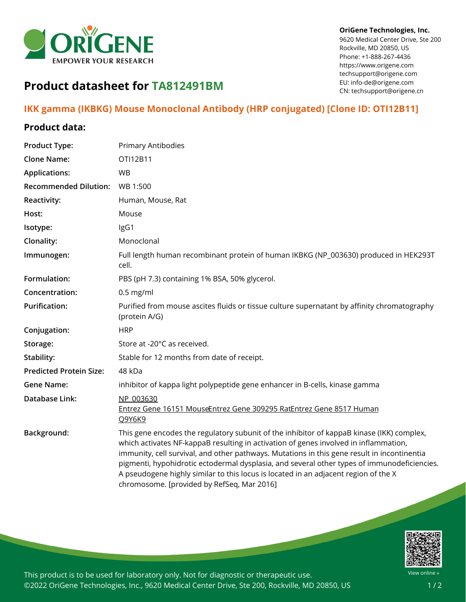

#### **OriGene Technologies, Inc.**

9620 Medical Center Drive, Ste 200 Rockville, MD 20850, US Phone: +1-888-267-4436 https://www.origene.com techsupport@origene.com EU: info-de@origene.com CN: techsupport@origene.cn

# **Product datasheet for TA812491BM**

## **IKK gamma (IKBKG) Mouse Monoclonal Antibody (HRP conjugated) [Clone ID: OTI12B11]**

#### **Product data:**

| <b>Product Type:</b>           | Primary Antibodies                                                                                                                                                                                                                                                                                                                                                                                                                                                                                                   |
|--------------------------------|----------------------------------------------------------------------------------------------------------------------------------------------------------------------------------------------------------------------------------------------------------------------------------------------------------------------------------------------------------------------------------------------------------------------------------------------------------------------------------------------------------------------|
| <b>Clone Name:</b>             | OTI12B11                                                                                                                                                                                                                                                                                                                                                                                                                                                                                                             |
| <b>Applications:</b>           | <b>WB</b>                                                                                                                                                                                                                                                                                                                                                                                                                                                                                                            |
| <b>Recommended Dilution:</b>   | WB 1:500                                                                                                                                                                                                                                                                                                                                                                                                                                                                                                             |
| <b>Reactivity:</b>             | Human, Mouse, Rat                                                                                                                                                                                                                                                                                                                                                                                                                                                                                                    |
| Host:                          | Mouse                                                                                                                                                                                                                                                                                                                                                                                                                                                                                                                |
| Isotype:                       | IgG1                                                                                                                                                                                                                                                                                                                                                                                                                                                                                                                 |
| Clonality:                     | Monoclonal                                                                                                                                                                                                                                                                                                                                                                                                                                                                                                           |
| Immunogen:                     | Full length human recombinant protein of human IKBKG (NP_003630) produced in HEK293T<br>cell.                                                                                                                                                                                                                                                                                                                                                                                                                        |
| Formulation:                   | PBS (pH 7.3) containing 1% BSA, 50% glycerol.                                                                                                                                                                                                                                                                                                                                                                                                                                                                        |
| Concentration:                 | $0.5$ mg/ml                                                                                                                                                                                                                                                                                                                                                                                                                                                                                                          |
| <b>Purification:</b>           | Purified from mouse ascites fluids or tissue culture supernatant by affinity chromatography<br>(protein A/G)                                                                                                                                                                                                                                                                                                                                                                                                         |
| Conjugation:                   | <b>HRP</b>                                                                                                                                                                                                                                                                                                                                                                                                                                                                                                           |
| Storage:                       | Store at -20°C as received.                                                                                                                                                                                                                                                                                                                                                                                                                                                                                          |
| Stability:                     | Stable for 12 months from date of receipt.                                                                                                                                                                                                                                                                                                                                                                                                                                                                           |
| <b>Predicted Protein Size:</b> | 48 kDa                                                                                                                                                                                                                                                                                                                                                                                                                                                                                                               |
| <b>Gene Name:</b>              | inhibitor of kappa light polypeptide gene enhancer in B-cells, kinase gamma                                                                                                                                                                                                                                                                                                                                                                                                                                          |
| <b>Database Link:</b>          | NP 003630<br>Entrez Gene 16151 MouseEntrez Gene 309295 RatEntrez Gene 8517 Human<br>Q9Y6K9                                                                                                                                                                                                                                                                                                                                                                                                                           |
| Background:                    | This gene encodes the regulatory subunit of the inhibitor of kappaB kinase (IKK) complex,<br>which activates NF-kappaB resulting in activation of genes involved in inflammation,<br>immunity, cell survival, and other pathways. Mutations in this gene result in incontinentia<br>pigmenti, hypohidrotic ectodermal dysplasia, and several other types of immunodeficiencies.<br>A pseudogene highly similar to this locus is located in an adjacent region of the X<br>chromosome. [provided by RefSeq, Mar 2016] |



This product is to be used for laboratory only. Not for diagnostic or therapeutic use. ©2022 OriGene Technologies, Inc., 9620 Medical Center Drive, Ste 200, Rockville, MD 20850, US